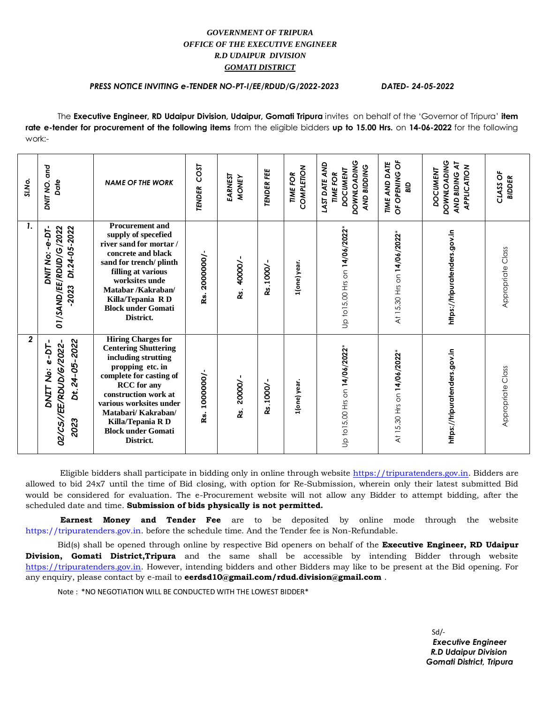## *GOVERNMENT OF TRIPURA OFFICE OF THE EXECUTIVE ENGINEER R.D UDAIPUR DIVISION GOMATI DISTRICT*

## *PRESS NOTICE INVITING e-TENDER NO-PT-I/EE/RDUD/G/2022-2023 DATED- 24-05-2022*

The **Executive Engineer, RD Udaipur Division, Udaipur, Gomati Tripura** invites on behalf of the 'Governor of Tripura' **item rate e-tender for procurement of the following items** from the eligible bidders **up to 15.00 Hrs.** on **14-06-2022** for the following work:-

| SI.No.<br>1.   | and<br>DNIT NO.<br>Date                                                | <b>NAME OF THE WORK</b><br><b>Procurement and</b>                                                                                                                                                                                                                                             | COST<br><b>TENDER</b> | EARNEST<br><b>MONEY</b> | <b>TENDER FEE</b> | COMPLETION<br><b>TIME FOR</b> | <b>DOWNLOADING</b><br>AND<br>AND BIDDING<br><b>DOCUMENT</b><br><b>TIME FOR</b><br>LAST DATE | OF OPENING OF<br>TIME AND DATE<br>ala | <b>DOWNLOADING</b><br>AND BIDING AT<br>APPLICATION<br><b>DOCUMENT</b> | CLASS OF<br><b>BIDDER</b> |
|----------------|------------------------------------------------------------------------|-----------------------------------------------------------------------------------------------------------------------------------------------------------------------------------------------------------------------------------------------------------------------------------------------|-----------------------|-------------------------|-------------------|-------------------------------|---------------------------------------------------------------------------------------------|---------------------------------------|-----------------------------------------------------------------------|---------------------------|
|                | Dt.24-05-2022<br>DNIT No: -e-DT-<br>01/SAND/EE/RDUD/G/2022<br>2023     | supply of specefied<br>river sand for mortar /<br>concrete and black<br>sand for trench/ plinth<br>filling at various<br>worksites unde<br>Matabar /Kakraban/<br>Killa/Tepania RD<br><b>Block under Gomati</b><br>District.                                                                   | 2000000/-<br>Rs.      | Rs. 40000/              | Rs.1000/          | 1(one) year.                  | Up to 15.00 Hrs on 14/06/2022*                                                              | At 15.30 Hrs on 14/06/2022*           | https://tripuratenders.gov.in                                         | Appropriate Class         |
| $\overline{2}$ | Dt.24-05-2022<br>02/CS//EE/RDUD/6/2022-<br>$e-DT-$<br>DNIT No:<br>2023 | <b>Hiring Charges for</b><br><b>Centering Shuttering</b><br>including strutting<br>propping etc. in<br>complete for casting of<br><b>RCC</b> for any<br>construction work at<br>various worksites under<br>Matabari/ Kakraban/<br>Killa/Tepania R D<br><b>Block under Gomati</b><br>District. | 1000000/-<br>Ŗ.       | Rs. 20000/-             | Rs.1000/          | 1(one) year.                  | Up to 15.00 Hrs on 14/06/2022*                                                              | At 15.30 Hrs on 14/06/2022*           | https://tripuratenders.gov.in                                         | Appropriate Class         |

Eligible bidders shall participate in bidding only in online through website [https://tripuratenders.gov.in.](https://tripuratenders.gov.in/) Bidders are allowed to bid 24x7 until the time of Bid closing, with option for Re-Submission, wherein only their latest submitted Bid would be considered for evaluation. The e-Procurement website will not allow any Bidder to attempt bidding, after the scheduled date and time. **Submission of bids physically is not permitted.**

**Earnest Money and Tender Fee** are to be deposited by online mode through the website https://tripuratenders.gov.in. before the schedule time. And the Tender fee is Non-Refundable.

Bid(s) shall be opened through online by respective Bid openers on behalf of the **Executive Engineer, RD Udaipur Division, Gomati District,Tripura** and the same shall be accessible by intending Bidder through website [https://tripuratenders.gov.in.](https://tripuratenders.gov.in/) However, intending bidders and other Bidders may like to be present at the Bid opening. For any enquiry, please contact by e-mail to **eerdsd10@gmail.com/rdud.division@gmail.com** .

Note : \*NO NEGOTIATION WILL BE CONDUCTED WITH THE LOWEST BIDDER\*

 $Sd$  *Executive Engineer R.D Udaipur Division Gomati District, Tripura*